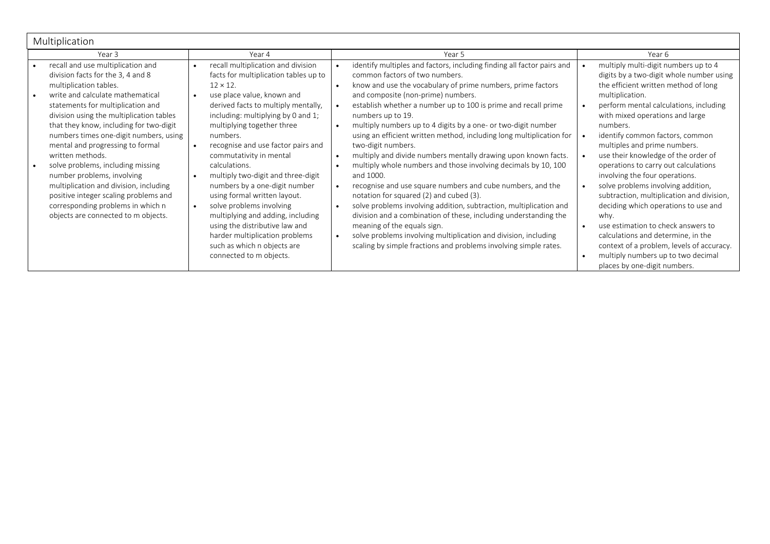| Multiplication                                                                                                                                                                                                                                                                                                                                                                                          |                                                                                                                                                                                                                                                                                                                                                                                                                                                                                                                                                                                                                                                                                                                                                                                                                                                                                                                                                                                                       |                                                                                                                                                                                                                                                                                                                                                                                        |
|---------------------------------------------------------------------------------------------------------------------------------------------------------------------------------------------------------------------------------------------------------------------------------------------------------------------------------------------------------------------------------------------------------|-------------------------------------------------------------------------------------------------------------------------------------------------------------------------------------------------------------------------------------------------------------------------------------------------------------------------------------------------------------------------------------------------------------------------------------------------------------------------------------------------------------------------------------------------------------------------------------------------------------------------------------------------------------------------------------------------------------------------------------------------------------------------------------------------------------------------------------------------------------------------------------------------------------------------------------------------------------------------------------------------------|----------------------------------------------------------------------------------------------------------------------------------------------------------------------------------------------------------------------------------------------------------------------------------------------------------------------------------------------------------------------------------------|
| Year 3                                                                                                                                                                                                                                                                                                                                                                                                  | Year 4<br>Year 5                                                                                                                                                                                                                                                                                                                                                                                                                                                                                                                                                                                                                                                                                                                                                                                                                                                                                                                                                                                      | Year 6                                                                                                                                                                                                                                                                                                                                                                                 |
| recall and use multiplication and<br>division facts for the 3, 4 and 8<br>multiplication tables.<br>write and calculate mathematical<br>statements for multiplication and<br>division using the multiplication tables<br>that they know, including for two-digit<br>numbers times one-digit numbers, using<br>mental and progressing to formal<br>written methods.<br>solve problems, including missing | identify multiples and factors, including finding all factor pairs and<br>recall multiplication and division<br>$\bullet$<br>facts for multiplication tables up to<br>common factors of two numbers.<br>know and use the vocabulary of prime numbers, prime factors<br>$12 \times 12$ .<br>$\bullet$<br>and composite (non-prime) numbers.<br>use place value, known and<br>derived facts to multiply mentally,<br>establish whether a number up to 100 is prime and recall prime<br>including: multiplying by 0 and 1;<br>numbers up to 19.<br>multiply numbers up to 4 digits by a one- or two-digit number<br>multiplying together three<br>$\bullet$<br>using an efficient written method, including long multiplication for<br>numbers.<br>recognise and use factor pairs and<br>two-digit numbers.<br>multiply and divide numbers mentally drawing upon known facts.<br>commutativity in mental<br>$\bullet$<br>multiply whole numbers and those involving decimals by 10, 100<br>calculations. | multiply multi-digit numbers up to 4<br>digits by a two-digit whole number using<br>the efficient written method of long<br>multiplication.<br>perform mental calculations, including<br>with mixed operations and large<br>numbers.<br>identify common factors, common<br>multiples and prime numbers.<br>use their knowledge of the order of<br>operations to carry out calculations |
| number problems, involving<br>multiplication and division, including<br>positive integer scaling problems and<br>corresponding problems in which n<br>objects are connected to m objects.                                                                                                                                                                                                               | multiply two-digit and three-digit<br>and 1000.<br>$\bullet$<br>recognise and use square numbers and cube numbers, and the<br>numbers by a one-digit number<br>using formal written layout.<br>notation for squared (2) and cubed (3).<br>solve problems involving<br>solve problems involving addition, subtraction, multiplication and<br>$\bullet$<br>$\bullet$<br>division and a combination of these, including understanding the<br>multiplying and adding, including<br>using the distributive law and<br>meaning of the equals sign.<br>harder multiplication problems<br>solve problems involving multiplication and division, including<br>$\bullet$<br>scaling by simple fractions and problems involving simple rates.<br>such as which n objects are<br>connected to m objects.                                                                                                                                                                                                          | involving the four operations.<br>solve problems involving addition,<br>subtraction, multiplication and division,<br>deciding which operations to use and<br>why.<br>use estimation to check answers to<br>calculations and determine, in the<br>context of a problem, levels of accuracy.<br>multiply numbers up to two decimal<br>places by one-digit numbers.                       |